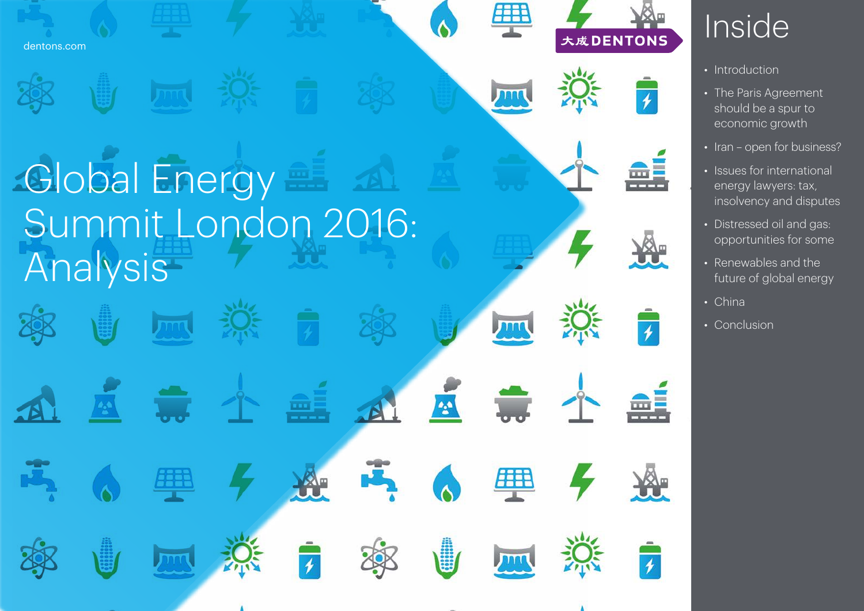# Global Energy Summit London 2016: Analysis



用

Jm

Jun

用

 $\sqrt{100}$ 

 $\mathbf{r}$ 

**Alternative** 













- [The Paris Agreement](#page-2-0)  [should be a spur to](#page-2-0)  [economic growth](#page-2-0)
- [Iran open for business?](#page-6-0)  Issues for international
- [energy lawyers: tax,](#page-8-0)  [insolvency and disputes](#page-8-0)
- [Distressed oil and gas:](#page-12-0)  [opportunities for some](#page-12-0)
- [Renewables and the](#page-13-0)  [future of global energy](#page-13-0)
- [China](#page-15-0)
- [Conclusion](#page-17-0)













dentons.com

### • [Introduction](#page-1-0)

## Inside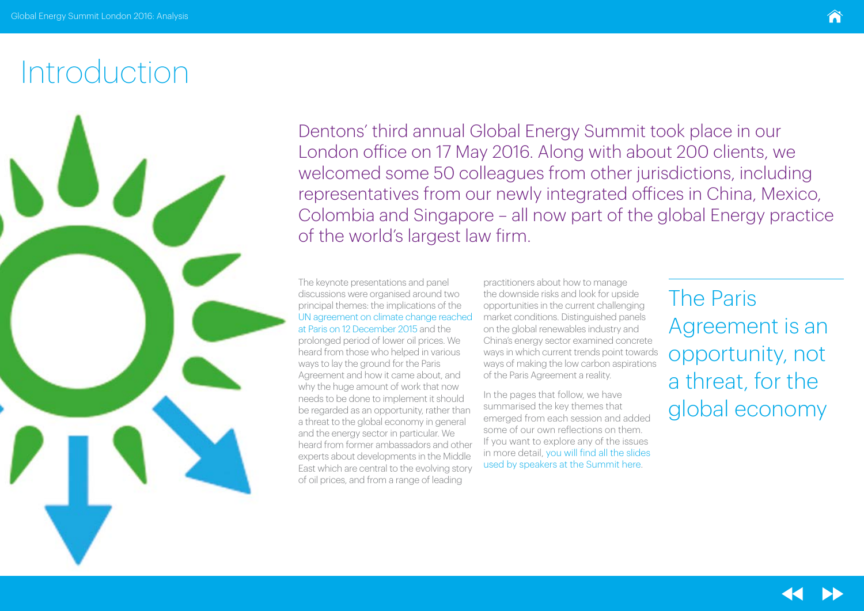The keynote presentations and panel discussions were organised around two principal themes: the implications of the [UN agreement on climate change reached](http://unfccc.int/paris_agreement/items/9485.php)  [at Paris on 12 December 2015](http://unfccc.int/paris_agreement/items/9485.php) and the prolonged period of lower oil prices. We heard from those who helped in various ways to lay the ground for the Paris Agreement and how it came about, and why the huge amount of work that now needs to be done to implement it should be regarded as an opportunity, rather than a threat to the global economy in general and the energy sector in particular. We heard from former ambassadors and other experts about developments in the Middle East which are central to the evolving story of oil prices, and from a range of leading

practitioners about how to manage the downside risks and look for upside opportunities in the current challenging market conditions. Distinguished panels on the global renewables industry and China's energy sector examined concrete ways in which current trends point towards ways of making the low carbon aspirations of the Paris Agreement a reality.

In the pages that follow, we have summarised the key themes that emerged from each session and added some of our own reflections on them. If you want to explore any of the issues in more detail, [you will find all the slides](http://www.dentons.com/en/insights/alerts/2016/july/14/dentons-global-energy-summit-2016-analysis)  [used by speakers at the Summit here](http://www.dentons.com/en/insights/alerts/2016/july/14/dentons-global-energy-summit-2016-analysis).



## <span id="page-1-0"></span>Introduction

The Paris Agreement is an opportunity, not a threat, for the global economy



Dentons' third annual Global Energy Summit took place in our London office on 17 May 2016. Along with about 200 clients, we welcomed some 50 colleagues from other jurisdictions, including representatives from our newly integrated offices in China, Mexico, Colombia and Singapore – all now part of the global Energy practice of the world's largest law firm.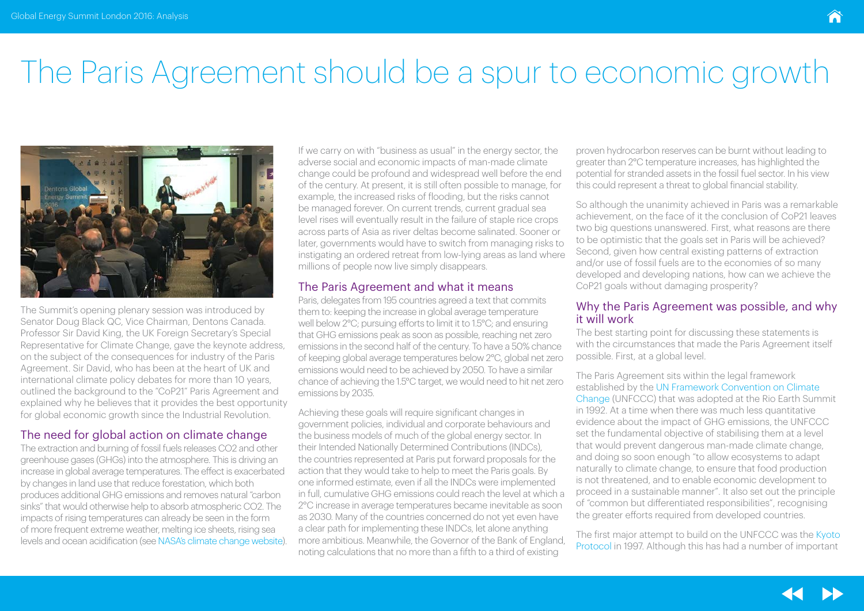## <span id="page-2-0"></span>The Paris Agreement should be a spur to economic growth



The Summit's opening plenary session was introduced by Senator Doug Black QC, Vice Chairman, Dentons Canada. Professor Sir David King, the UK Foreign Secretary's Special Representative for Climate Change, gave the keynote address, on the subject of the consequences for industry of the Paris Agreement. Sir David, who has been at the heart of UK and international climate policy debates for more than 10 years, outlined the background to the "CoP21" Paris Agreement and explained why he believes that it provides the best opportunity for global economic growth since the Industrial Revolution.

### The need for global action on climate change

The extraction and burning of fossil fuels releases CO2 and other greenhouse gases (GHGs) into the atmosphere. This is driving an increase in global average temperatures. The effect is exacerbated by changes in land use that reduce forestation, which both produces additional GHG emissions and removes natural "carbon sinks" that would otherwise help to absorb atmospheric CO2. The impacts of rising temperatures can already be seen in the form of more frequent extreme weather, melting ice sheets, rising sea levels and ocean acidification (see [NASA's climate change website](http://climate.nasa.gov/)).

If we carry on with "business as usual" in the energy sector, the adverse social and economic impacts of man-made climate change could be profound and widespread well before the end of the century. At present, it is still often possible to manage, for example, the increased risks of flooding, but the risks cannot be managed forever. On current trends, current gradual sea level rises will eventually result in the failure of staple rice crops across parts of Asia as river deltas become salinated. Sooner or later, governments would have to switch from managing risks to instigating an ordered retreat from low-lying areas as land where millions of people now live simply disappears.

### The Paris Agreement and what it means

Paris, delegates from 195 countries agreed a text that commits them to: keeping the increase in global average temperature well below 2°C; pursuing efforts to limit it to 1.5°C; and ensuring that GHG emissions peak as soon as possible, reaching net zero emissions in the second half of the century. To have a 50% chance of keeping global average temperatures below 2°C, global net zero emissions would need to be achieved by 2050. To have a similar chance of achieving the 1.5°C target, we would need to hit net zero emissions by 2035.

Achieving these goals will require significant changes in government policies, individual and corporate behaviours and the business models of much of the global energy sector. In their Intended Nationally Determined Contributions (INDCs), the countries represented at Paris put forward proposals for the action that they would take to help to meet the Paris goals. By one informed estimate, even if all the INDCs were implemented in full, cumulative GHG emissions could reach the level at which a 2°C increase in average temperatures became inevitable as soon as 2030. Many of the countries concerned do not yet even have a clear path for implementing these INDCs, let alone anything more ambitious. Meanwhile, the Governor of the Bank of England, noting calculations that no more than a fifth to a third of existing

proven hydrocarbon reserves can be burnt without leading to greater than 2°C temperature increases, has highlighted the potential for stranded assets in the fossil fuel sector. In his view this could represent a threat to global financial stability.

So although the unanimity achieved in Paris was a remarkable achievement, on the face of it the conclusion of CoP21 leaves two big questions unanswered. First, what reasons are there to be optimistic that the goals set in Paris will be achieved? Second, given how central existing patterns of extraction and/or use of fossil fuels are to the economies of so many developed and developing nations, how can we achieve the CoP21 goals without damaging prosperity?

### Why the Paris Agreement was possible, and why



## it will work

The best starting point for discussing these statements is with the circumstances that made the Paris Agreement itself possible. First, at a global level.

The Paris Agreement sits within the legal framework established by the [UN Framework Convention on Climate](http://unfccc.int/essential_background/convention/items/6036.php)  [Change](http://unfccc.int/essential_background/convention/items/6036.php) (UNFCCC) that was adopted at the Rio Earth Summit in 1992. At a time when there was much less quantitative evidence about the impact of GHG emissions, the UNFCCC set the fundamental objective of stabilising them at a level that would prevent dangerous man-made climate change, and doing so soon enough "to allow ecosystems to adapt naturally to climate change, to ensure that food production is not threatened, and to enable economic development to proceed in a sustainable manner". It also set out the principle of "common but differentiated responsibilities", recognising the greater efforts required from developed countries.

The first major attempt to build on the UNFCCC was the [Kyoto](http://unfccc.int/kyoto_protocol/items/2830.php)  [Protocol](http://unfccc.int/kyoto_protocol/items/2830.php) in 1997. Although this has had a number of important

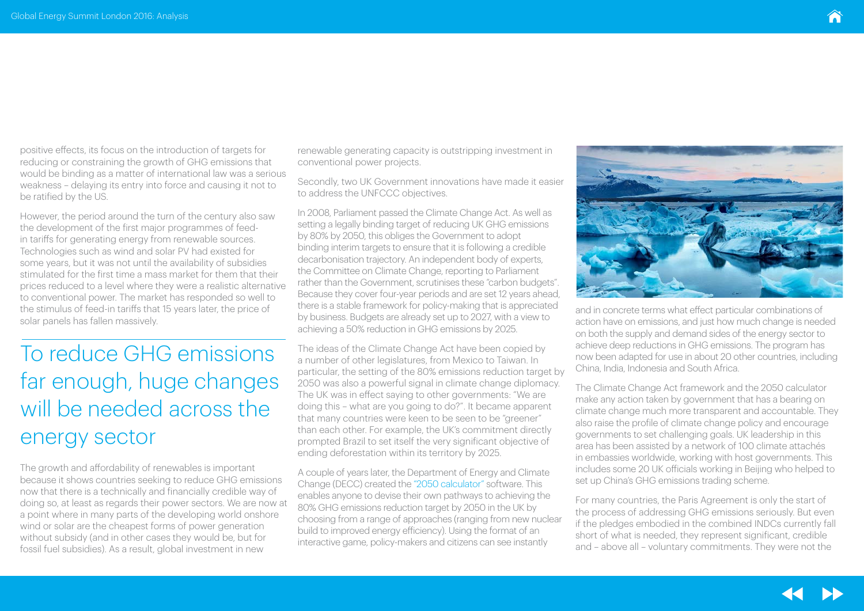positive effects, its focus on the introduction of targets for reducing or constraining the growth of GHG emissions that would be binding as a matter of international law was a serious weakness – delaying its entry into force and causing it not to be ratified by the US.

However, the period around the turn of the century also saw the development of the first major programmes of feedin tariffs for generating energy from renewable sources. Technologies such as wind and solar PV had existed for some years, but it was not until the availability of subsidies stimulated for the first time a mass market for them that their prices reduced to a level where they were a realistic alternative to conventional power. The market has responded so well to the stimulus of feed-in tariffs that 15 years later, the price of solar panels has fallen massively.

The growth and affordability of renewables is important because it shows countries seeking to reduce GHG emissions now that there is a technically and financially credible way of doing so, at least as regards their power sectors. We are now at a point where in many parts of the developing world onshore wind or solar are the cheapest forms of power generation without subsidy (and in other cases they would be, but for fossil fuel subsidies). As a result, global investment in new

renewable generating capacity is outstripping investment in conventional power projects.

Secondly, two UK Government innovations have made it easier to address the UNFCCC objectives.

In 2008, Parliament passed the Climate Change Act. As well as setting a legally binding target of reducing UK GHG emissions by 80% by 2050, this obliges the Government to adopt binding interim targets to ensure that it is following a credible decarbonisation trajectory. An independent body of experts, the Committee on Climate Change, reporting to Parliament rather than the Government, scrutinises these "carbon budgets". Because they cover four-year periods and are set 12 years ahead, there is a stable framework for policy-making that is appreciated by business. Budgets are already set up to 2027, with a view to achieving a 50% reduction in GHG emissions by 2025.

The ideas of the Climate Change Act have been copied by a number of other legislatures, from Mexico to Taiwan. In particular, the setting of the 80% emissions reduction target by 2050 was also a powerful signal in climate change diplomacy. The UK was in effect saying to other governments: "We are doing this – what are you going to do?". It became apparent that many countries were keen to be seen to be "greener" than each other. For example, the UK's commitment directly prompted Brazil to set itself the very significant objective of ending deforestation within its territory by 2025.

A couple of years later, the Department of Energy and Climate Change (DECC) created the ["2050 calculator"](http://2050-calculator-tool.decc.gov.uk/#/home) software. This enables anyone to devise their own pathways to achieving the 80% GHG emissions reduction target by 2050 in the UK by choosing from a range of approaches (ranging from new nuclear build to improved energy efficiency). Using the format of an interactive game, policy-makers and citizens can see instantly



and in concrete terms what effect particular combinations of action have on emissions, and just how much change is needed on both the supply and demand sides of the energy sector to achieve deep reductions in GHG emissions. The program has now been adapted for use in about 20 other countries, including China, India, Indonesia and South Africa.

The Climate Change Act framework and the 2050 calculator make any action taken by government that has a bearing on climate change much more transparent and accountable. They also raise the profile of climate change policy and encourage governments to set challenging goals. UK leadership in this area has been assisted by a network of 100 climate attachés in embassies worldwide, working with host governments. This includes some 20 UK officials working in Beijing who helped to set up China's GHG emissions trading scheme.

For many countries, the Paris Agreement is only the start of the process of addressing GHG emissions seriously. But even if the pledges embodied in the combined INDCs currently fall short of what is needed, they represent significant, credible and – above all – voluntary commitments. They were not the





### To reduce GHG emissions far enough, huge changes will be needed across the energy sector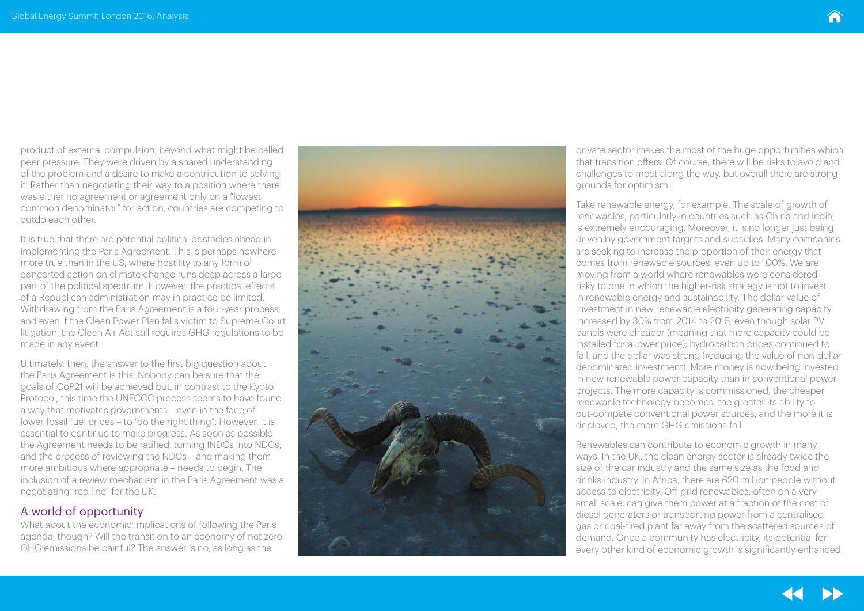product of external compulsion, beyond what might be called peer pressure. They were driven by a shared understanding of the problem and a desire to make a contribution to solving it. Rather than negotiating their way to a position where there was either no agreement or agreement only on a "lowest common denominator" for action, countries are competing to outdo each other.

It is true that there are potential political obstacles ahead in implementing the Paris Agreement. This is perhaps nowhere more true than in the US, where hostility to any form of concerted action on climate change runs deep across a large part of the political spectrum. However, the practical effects of a Republican administration may in practice be limited. Withdrawing from the Paris Agreement is a four-year process, and even if the Clean Power Plan falls victim to Supreme Court litigation, the Clean Air Act still requires GHG regulations to be made in any event.

Ultimately, then, the answer to the first big question about the Paris Agreement is this. Nobody can be sure that the goals of CoP21 will be achieved but, in contrast to the Kyoto Protocol, this time the UNFCCC process seems to have found a way that motivates governments – even in the face of lower fossil fuel prices – to "do the right thing". However, it is essential to continue to make progress. As soon as possible the Agreement needs to be ratified, turning INDCs into NDCs, and the process of reviewing the NDCs – and making them more ambitious where appropriate – needs to begin. The inclusion of a review mechanism in the Paris Agreement was a negotiating "red line" for the UK.

Renewables can contribute to economic growth in many ways. In the UK, the clean energy sector is already twice the size of the car industry and the same size as the food and drinks industry. In Africa, there are 620 million people without access to electricity. Off-grid renewables, often on a very small scale, can give them power at a fraction of the cost of diesel generators or transporting power from a centralised gas or coal-fired plant far away from the scattered sources of demand. Once a community has electricity, its potential for every other kind of economic growth is significantly enhanced.





### A world of opportunity

What about the economic implications of following the Paris agenda, though? Will the transition to an economy of net zero GHG emissions be painful? The answer is no, as long as the



private sector makes the most of the huge opportunities which that transition offers. Of course, there will be risks to avoid and challenges to meet along the way, but overall there are strong grounds for optimism.

Take renewable energy, for example. The scale of growth of renewables, particularly in countries such as China and India, is extremely encouraging. Moreover, it is no longer just being driven by government targets and subsidies. Many companies are seeking to increase the proportion of their energy that comes from renewable sources, even up to 100%. We are moving from a world where renewables were considered risky to one in which the higher-risk strategy is not to invest in renewable energy and sustainability. The dollar value of investment in new renewable electricity generating capacity increased by 30% from 2014 to 2015, even though solar PV panels were cheaper (meaning that more capacity could be installed for a lower price); hydrocarbon prices continued to fall, and the dollar was strong (reducing the value of non-dollar denominated investment). More money is now being invested in new renewable power capacity than in conventional power projects. The more capacity is commissioned, the cheaper renewable technology becomes, the greater its ability to out-compete conventional power sources, and the more it is deployed, the more GHG emissions fall.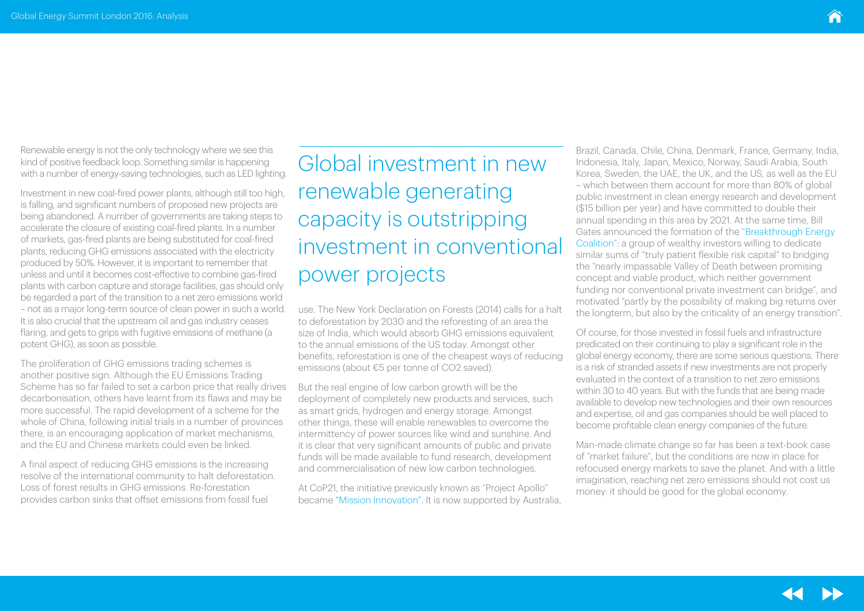Renewable energy is not the only technology where we see this kind of positive feedback loop. Something similar is happening with a number of energy-saving technologies, such as LED lighting.

Investment in new coal-fired power plants, although still too high, is falling, and significant numbers of proposed new projects are being abandoned. A number of governments are taking steps to accelerate the closure of existing coal-fired plants. In a number of markets, gas-fired plants are being substituted for coal-fired plants, reducing GHG emissions associated with the electricity produced by 50%. However, it is important to remember that unless and until it becomes cost-effective to combine gas-fired plants with carbon capture and storage facilities, gas should only be regarded a part of the transition to a net zero emissions world – not as a major long-term source of clean power in such a world. It is also crucial that the upstream oil and gas industry ceases flaring, and gets to grips with fugitive emissions of methane (a potent GHG), as soon as possible.

The proliferation of GHG emissions trading schemes is another positive sign. Although the EU Emissions Trading Scheme has so far failed to set a carbon price that really drives decarbonisation, others have learnt from its flaws and may be more successful. The rapid development of a scheme for the whole of China, following initial trials in a number of provinces there, is an encouraging application of market mechanisms, and the EU and Chinese markets could even be linked.

A final aspect of reducing GHG emissions is the increasing resolve of the international community to halt deforestation. Loss of forest results in GHG emissions. Re-forestation provides carbon sinks that offset emissions from fossil fuel

use. The New York Declaration on Forests (2014) calls for a halt to deforestation by 2030 and the reforesting of an area the size of India, which would absorb GHG emissions equivalent to the annual emissions of the US today. Amongst other benefits, reforestation is one of the cheapest ways of reducing emissions (about €5 per tonne of CO2 saved).

But the real engine of low carbon growth will be the deployment of completely new products and services, such as smart grids, hydrogen and energy storage. Amongst other things, these will enable renewables to overcome the intermittency of power sources like wind and sunshine. And it is clear that very significant amounts of public and private funds will be made available to fund research, development and commercialisation of new low carbon technologies.

At CoP21, the initiative previously known as "Project Apollo" becam[e "Mission Innovation".](http://mission-innovation.net/) It is now supported by Australia,

Brazil, Canada, Chile, China, Denmark, France, Germany, India, Indonesia, Italy, Japan, Mexico, Norway, Saudi Arabia, South Korea, Sweden, the UAE, the UK, and the US, as well as the EU – which between them account for more than 80% of global public investment in clean energy research and development (\$15 billion per year) and have committed to double their annual spending in this area by 2021. At the same time, Bill Gates announced the formation of the ["Breakthrough Energy](http://www.breakthroughenergycoalition.com/en/index.html)  [Coalition"](http://www.breakthroughenergycoalition.com/en/index.html): a group of wealthy investors willing to dedicate similar sums of "truly patient flexible risk capital" to bridging the "nearly impassable Valley of Death between promising concept and viable product, which neither government funding nor conventional private investment can bridge", and motivated "partly by the possibility of making big returns over the longterm, but also by the criticality of an energy transition".

Of course, for those invested in fossil fuels and infrastructure predicated on their continuing to play a significant role in the global energy economy, there are some serious questions. There is a risk of stranded assets if new investments are not properly evaluated in the context of a transition to net zero emissions within 30 to 40 years. But with the funds that are being made available to develop new technologies and their own resources and expertise, oil and gas companies should be well placed to become profitable clean energy companies of the future.

Man-made climate change so far has been a text-book case of "market failure", but the conditions are now in place for refocused energy markets to save the planet. And with a little imagination, reaching net zero emissions should not cost us money: it should be good for the global economy.





Global investment in new renewable generating capacity is outstripping investment in conventional power projects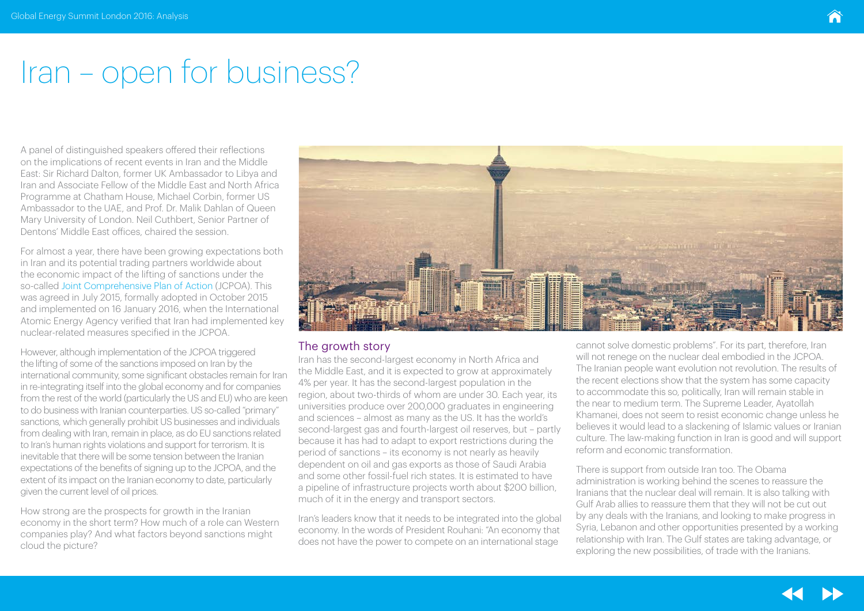## <span id="page-6-0"></span>Iran – open for business?

A panel of distinguished speakers offered their reflections on the implications of recent events in Iran and the Middle East: Sir Richard Dalton, former UK Ambassador to Libya and Iran and Associate Fellow of the Middle East and North Africa Programme at Chatham House, Michael Corbin, former US Ambassador to the UAE, and Prof. Dr. Malik Dahlan of Queen Mary University of London. Neil Cuthbert, Senior Partner of Dentons' Middle East offices, chaired the session.

For almost a year, there have been growing expectations both in Iran and its potential trading partners worldwide about the economic impact of the lifting of sanctions under the so-called [Joint Comprehensive Plan of Action](http://www.state.gov/e/eb/tfs/spi/iran/jcpoa/) (JCPOA). This was agreed in July 2015, formally adopted in October 2015 and implemented on 16 January 2016, when the International Atomic Energy Agency verified that Iran had implemented key nuclear-related measures specified in the JCPOA.

However, although implementation of the JCPOA triggered the lifting of some of the sanctions imposed on Iran by the international community, some significant obstacles remain for Iran in re-integrating itself into the global economy and for companies from the rest of the world (particularly the US and EU) who are keen to do business with Iranian counterparties. US so-called "primary" sanctions, which generally prohibit US businesses and individuals from dealing with Iran, remain in place, as do EU sanctions related to Iran's human rights violations and support for terrorism. It is inevitable that there will be some tension between the Iranian expectations of the benefits of signing up to the JCPOA, and the extent of its impact on the Iranian economy to date, particularly given the current level of oil prices.

How strong are the prospects for growth in the Iranian economy in the short term? How much of a role can Western companies play? And what factors beyond sanctions might cloud the picture?



### The growth story

Iran has the second-largest economy in North Africa and the Middle East, and it is expected to grow at approximately 4% per year. It has the second-largest population in the region, about two-thirds of whom are under 30. Each year, its universities produce over 200,000 graduates in engineering and sciences – almost as many as the US. It has the world's second-largest gas and fourth-largest oil reserves, but – partly because it has had to adapt to export restrictions during the period of sanctions – its economy is not nearly as heavily dependent on oil and gas exports as those of Saudi Arabia and some other fossil-fuel rich states. It is estimated to have a pipeline of infrastructure projects worth about \$200 billion, much of it in the energy and transport sectors.

Iran's leaders know that it needs to be integrated into the global economy. In the words of President Rouhani: "An economy that does not have the power to compete on an international stage

cannot solve domestic problems". For its part, therefore, Iran will not renege on the nuclear deal embodied in the JCPOA. The Iranian people want evolution not revolution. The results of the recent elections show that the system has some capacity to accommodate this so, politically, Iran will remain stable in the near to medium term. The Supreme Leader, Ayatollah Khamanei, does not seem to resist economic change unless he believes it would lead to a slackening of Islamic values or Iranian culture. The law-making function in Iran is good and will support reform and economic transformation.

There is support from outside Iran too. The Obama administration is working behind the scenes to reassure the Iranians that the nuclear deal will remain. It is also talking with Gulf Arab allies to reassure them that they will not be cut out by any deals with the Iranians, and looking to make progress in Syria, Lebanon and other opportunities presented by a working relationship with Iran. The Gulf states are taking advantage, or exploring the new possibilities, of trade with the Iranians.



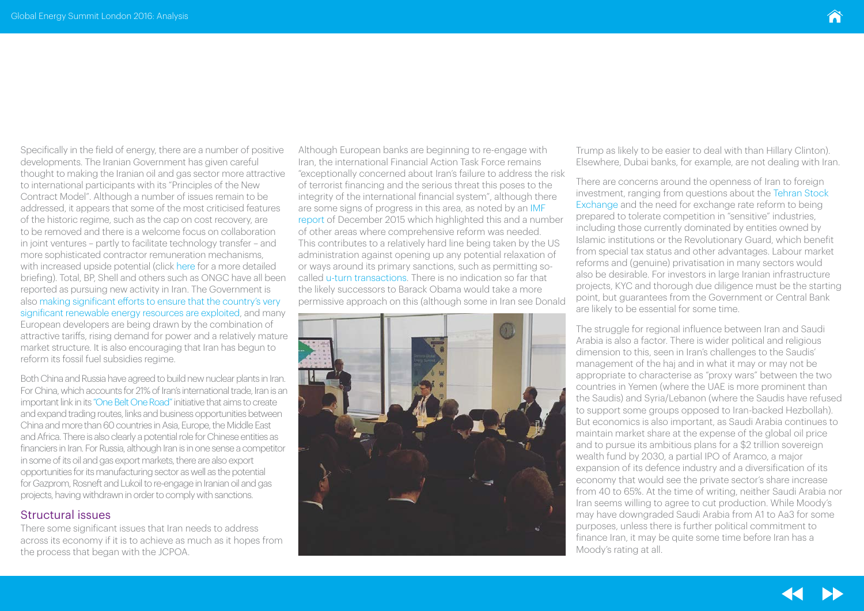Specifically in the field of energy, there are a number of positive developments. The Iranian Government has given careful thought to making the Iranian oil and gas sector more attractive to international participants with its "Principles of the New Contract Model". Although a number of issues remain to be addressed, it appears that some of the most criticised features of the historic regime, such as the cap on cost recovery, are to be removed and there is a welcome focus on collaboration in joint ventures – partly to facilitate technology transfer – and more sophisticated contractor remuneration mechanisms, with increased upside potential (click [here](http://www.dentons.com/en/insights/alerts/2016/april/4/new-model-iranian-petroleum-contract) for a more detailed briefing). Total, BP, Shell and others such as ONGC have all been reported as pursuing new activity in Iran. The Government is also [making significant efforts to ensure that the country's very](http://www.suna.org.ir/en/home)  [significant renewable energy resources are exploited](http://www.suna.org.ir/en/home), and many European developers are being drawn by the combination of attractive tariffs, rising demand for power and a relatively mature market structure. It is also encouraging that Iran has begun to reform its fossil fuel subsidies regime.

Both China and Russia have agreed to build new nuclear plants in Iran. For China, which accounts for 21% of Iran's international trade, Iran is an important link in its ["One Belt One Road"](http://english.gov.cn/beltAndRoad/) initiative that aims to create and expand trading routes, links and business opportunities between China and more than 60 countries in Asia, Europe, the Middle East and Africa. There is also clearly a potential role for Chinese entities as financiers in Iran. For Russia, although Iran is in one sense a competitor in some of its oil and gas export markets, there are also export opportunities for its manufacturing sector as well as the potential for Gazprom, Rosneft and Lukoil to re-engage in Iranian oil and gas projects, having withdrawn in order to comply with sanctions.

### Structural issues

There some significant issues that Iran needs to address across its economy if it is to achieve as much as it hopes from the process that began with the JCPOA.

Although European banks are beginning to re-engage with Iran, the international Financial Action Task Force remains "exceptionally concerned about Iran's failure to address the risk of terrorist financing and the serious threat this poses to the integrity of the international financial system", although there are some signs of progress in this area, as noted by an [IMF](https://www.imf.org/external/pubs/ft/scr/2015/cr15349.pdf)  [report](https://www.imf.org/external/pubs/ft/scr/2015/cr15349.pdf) of December 2015 which highlighted this and a number of other areas where comprehensive reform was needed. This contributes to a relatively hard line being taken by the US administration against opening up any potential relaxation of or ways around its primary sanctions, such as permitting socalled [u-turn transactions](http://www.al-monitor.com/pulse/originals/2016/04/treasury-secretary-lew-financial-system-closed-iran-sanction.html). There is no indication so far that the likely successors to Barack Obama would take a more permissive approach on this (although some in Iran see Donald



Trump as likely to be easier to deal with than Hillary Clinton). Elsewhere, Dubai banks, for example, are not dealing with Iran.

There are concerns around the openness of Iran to foreign investment, ranging from questions about the [Tehran Stock](http://www.al-monitor.com/pulse/originals/2016/06/iran-foreign-investment-capital-markets-challenges.html)  [Exchange](http://www.al-monitor.com/pulse/originals/2016/06/iran-foreign-investment-capital-markets-challenges.html) and the need for exchange rate reform to being prepared to tolerate competition in "sensitive" industries, including those currently dominated by entities owned by Islamic institutions or the Revolutionary Guard, which benefit from special tax status and other advantages. Labour market reforms and (genuine) privatisation in many sectors would also be desirable. For investors in large Iranian infrastructure projects, KYC and thorough due diligence must be the starting point, but guarantees from the Government or Central Bank are likely to be essential for some time.

The struggle for regional influence between Iran and Saudi Arabia is also a factor. There is wider political and religious dimension to this, seen in Iran's challenges to the Saudis' management of the haj and in what it may or may not be appropriate to characterise as "proxy wars" between the two countries in Yemen (where the UAE is more prominent than the Saudis) and Syria/Lebanon (where the Saudis have refused to support some groups opposed to Iran-backed Hezbollah). But economics is also important, as Saudi Arabia continues to maintain market share at the expense of the global oil price and to pursue its ambitious plans for a \$2 trillion sovereign wealth fund by 2030, a partial IPO of Aramco, a major expansion of its defence industry and a diversification of its economy that would see the private sector's share increase from 40 to 65%. At the time of writing, neither Saudi Arabia nor Iran seems willing to agree to cut production. While Moody's may have downgraded Saudi Arabia from A1 to Aa3 for some purposes, unless there is further political commitment to finance Iran, it may be quite some time before Iran has a Moody's rating at all.



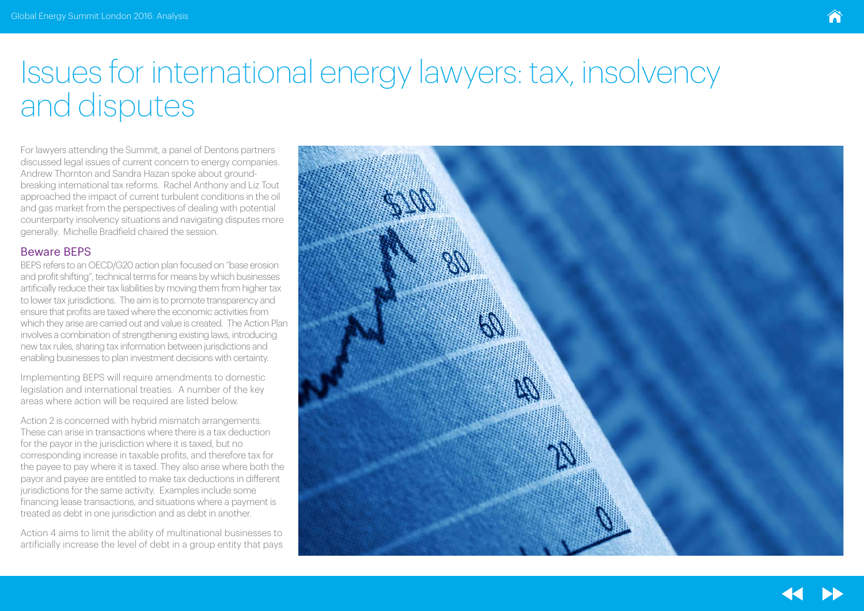For lawyers attending the Summit, a panel of Dentons partners discussed legal issues of current concern to energy companies. Andrew Thornton and Sandra Hazan spoke about groundbreaking international tax reforms. Rachel Anthony and Liz Tout approached the impact of current turbulent conditions in the oil and gas market from the perspectives of dealing with potential counterparty insolvency situations and navigating disputes more generally. Michelle Bradfield chaired the session.

### Beware BEPS

BEPS refers to an OECD/G20 action plan focused on "base erosion and profit shifting", technical terms for means by which businesses artificially reduce their tax liabilities by moving them from higher tax to lower tax jurisdictions. The aim is to promote transparency and ensure that profits are taxed where the economic activities from which they arise are carried out and value is created. The Action Plan involves a combination of strengthening existing laws, introducing new tax rules, sharing tax information between jurisdictions and enabling businesses to plan investment decisions with certainty.

Implementing BEPS will require amendments to domestic legislation and international treaties. A number of the key areas where action will be required are listed below.

Action 2 is concerned with hybrid mismatch arrangements. These can arise in transactions where there is a tax deduction for the payor in the jurisdiction where it is taxed, but no corresponding increase in taxable profits, and therefore tax for the payee to pay where it is taxed. They also arise where both the payor and payee are entitled to make tax deductions in different jurisdictions for the same activity. Examples include some financing lease transactions, and situations where a payment is treated as debt in one jurisdiction and as debt in another.

Action 4 aims to limit the ability of multinational businesses to artificially increase the level of debt in a group entity that pays







## <span id="page-8-0"></span>Issues for international energy lawyers: tax, insolvency and disputes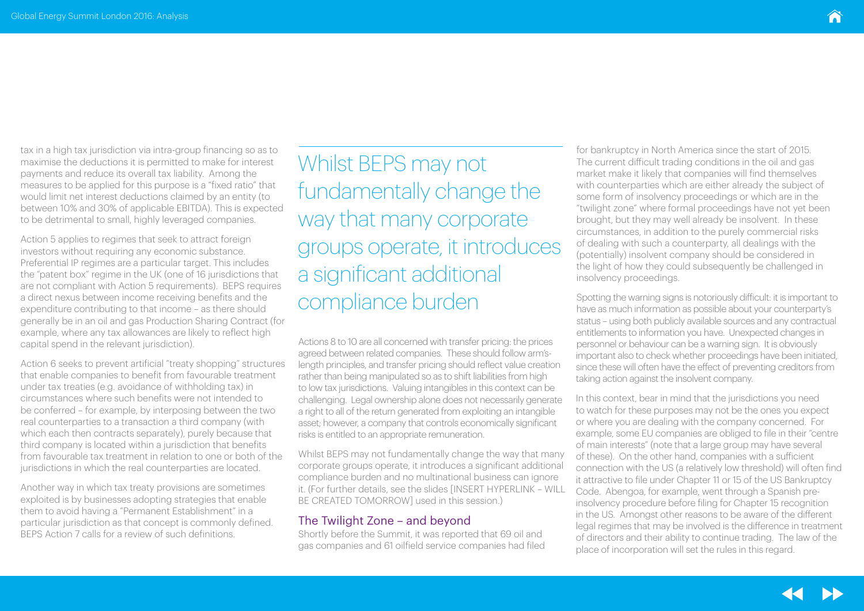tax in a high tax jurisdiction via intra-group financing so as to maximise the deductions it is permitted to make for interest payments and reduce its overall tax liability. Among the measures to be applied for this purpose is a "fixed ratio" that would limit net interest deductions claimed by an entity (to between 10% and 30% of applicable EBITDA). This is expected to be detrimental to small, highly leveraged companies.

Action 5 applies to regimes that seek to attract foreign investors without requiring any economic substance. Preferential IP regimes are a particular target. This includes the "patent box" regime in the UK (one of 16 jurisdictions that are not compliant with Action 5 requirements). BEPS requires a direct nexus between income receiving benefits and the expenditure contributing to that income – as there should generally be in an oil and gas Production Sharing Contract (for example, where any tax allowances are likely to reflect high capital spend in the relevant jurisdiction).

Action 6 seeks to prevent artificial "treaty shopping" structures that enable companies to benefit from favourable treatment under tax treaties (e.g. avoidance of withholding tax) in circumstances where such benefits were not intended to be conferred – for example, by interposing between the two real counterparties to a transaction a third company (with which each then contracts separately), purely because that third company is located within a jurisdiction that benefits from favourable tax treatment in relation to one or both of the jurisdictions in which the real counterparties are located.

Another way in which tax treaty provisions are sometimes exploited is by businesses adopting strategies that enable them to avoid having a "Permanent Establishment" in a particular jurisdiction as that concept is commonly defined. BEPS Action 7 calls for a review of such definitions.

Spotting the warning signs is notoriously difficult: it is important to have as much information as possible about your counterparty's status – using both publicly available sources and any contractual entitlements to information you have. Unexpected changes in personnel or behaviour can be a warning sign. It is obviously important also to check whether proceedings have been initiated, since these will often have the effect of preventing creditors from taking action against the insolvent company.

Actions 8 to 10 are all concerned with transfer pricing: the prices agreed between related companies. These should follow arm'slength principles, and transfer pricing should reflect value creation rather than being manipulated so as to shift liabilities from high to low tax jurisdictions. Valuing intangibles in this context can be challenging. Legal ownership alone does not necessarily generate a right to all of the return generated from exploiting an intangible asset; however, a company that controls economically significant risks is entitled to an appropriate remuneration.

Whilst BEPS may not fundamentally change the way that many corporate groups operate, it introduces a significant additional compliance burden and no multinational business can ignore it. (For further details, see the slides [INSERT HYPERLINK – WILL BE CREATED TOMORROW] used in this session.)

### The Twilight Zone – and beyond

Shortly before the Summit, it was reported that 69 oil and gas companies and 61 oilfield service companies had filed for bankruptcy in North America since the start of 2015. The current difficult trading conditions in the oil and gas market make it likely that companies will find themselves with counterparties which are either already the subject of some form of insolvency proceedings or which are in the "twilight zone" where formal proceedings have not yet been brought, but they may well already be insolvent. In these circumstances, in addition to the purely commercial risks of dealing with such a counterparty, all dealings with the (potentially) insolvent company should be considered in the light of how they could subsequently be challenged in insolvency proceedings.

In this context, bear in mind that the jurisdictions you need to watch for these purposes may not be the ones you expect or where you are dealing with the company concerned. For example, some EU companies are obliged to file in their "centre of main interests" (note that a large group may have several of these). On the other hand, companies with a sufficient connection with the US (a relatively low threshold) will often find it attractive to file under Chapter 11 or 15 of the US Bankruptcy Code. Abengoa, for example, went through a Spanish preinsolvency procedure before filing for Chapter 15 recognition in the US. Amongst other reasons to be aware of the different legal regimes that may be involved is the difference in treatment of directors and their ability to continue trading. The law of the place of incorporation will set the rules in this regard.





Whilst BEPS may not fundamentally change the way that many corporate groups operate, it introduces a significant additional compliance burden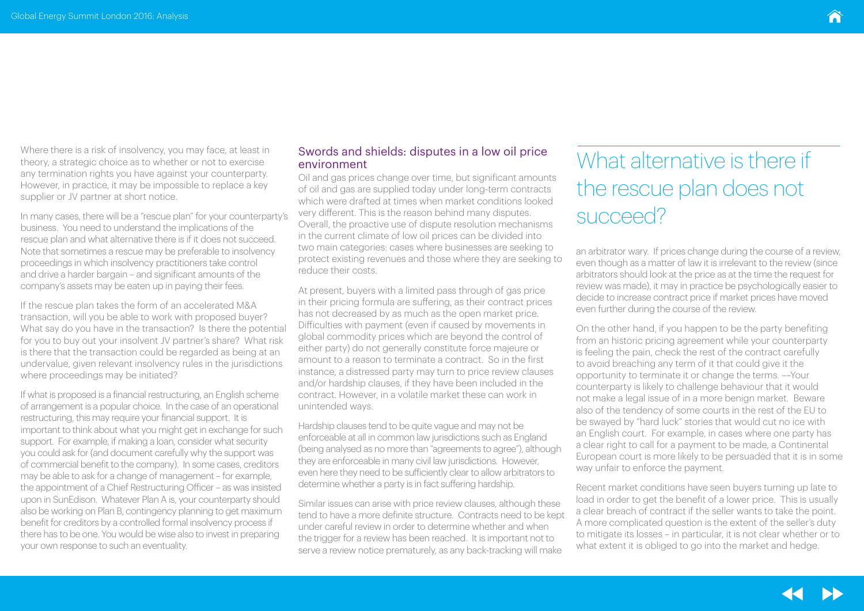Where there is a risk of insolvency, you may face, at least in theory, a strategic choice as to whether or not to exercise any termination rights you have against your counterparty. However, in practice, it may be impossible to replace a key supplier or JV partner at short notice.

In many cases, there will be a "rescue plan" for your counterparty's business. You need to understand the implications of the rescue plan and what alternative there is if it does not succeed. Note that sometimes a rescue may be preferable to insolvency proceedings in which insolvency practitioners take control and drive a harder bargain – and significant amounts of the company's assets may be eaten up in paying their fees.

If the rescue plan takes the form of an accelerated M&A transaction, will you be able to work with proposed buyer? What say do you have in the transaction? Is there the potential for you to buy out your insolvent JV partner's share? What risk is there that the transaction could be regarded as being at an undervalue, given relevant insolvency rules in the jurisdictions where proceedings may be initiated?

If what is proposed is a financial restructuring, an English scheme of arrangement is a popular choice. In the case of an operational restructuring, this may require your financial support. It is important to think about what you might get in exchange for such support. For example, if making a loan, consider what security you could ask for (and document carefully why the support was of commercial benefit to the company). In some cases, creditors may be able to ask for a change of management – for example, the appointment of a Chief Restructuring Officer – as was insisted upon in SunEdison. Whatever Plan A is, your counterparty should also be working on Plan B, contingency planning to get maximum benefit for creditors by a controlled formal insolvency process if there has to be one. You would be wise also to invest in preparing your own response to such an eventuality.

### Swords and shields: disputes in a low oil price environment

Oil and gas prices change over time, but significant amounts of oil and gas are supplied today under long-term contracts which were drafted at times when market conditions looked very different. This is the reason behind many disputes. Overall, the proactive use of dispute resolution mechanisms in the current climate of low oil prices can be divided into two main categories: cases where businesses are seeking to protect existing revenues and those where they are seeking to reduce their costs.

### What alternative is there if the rescue plan does not succeed?

At present, buyers with a limited pass through of gas price in their pricing formula are suffering, as their contract prices has not decreased by as much as the open market price. Difficulties with payment (even if caused by movements in global commodity prices which are beyond the control of either party) do not generally constitute force majeure or amount to a reason to terminate a contract. So in the first instance, a distressed party may turn to price review clauses and/or hardship clauses, if they have been included in the contract. However, in a volatile market these can work in unintended ways.

Hardship clauses tend to be quite vague and may not be enforceable at all in common law jurisdictions such as England (being analysed as no more than "agreements to agree"), although they are enforceable in many civil law jurisdictions. However, even here they need to be sufficiently clear to allow arbitrators to determine whether a party is in fact suffering hardship.

Similar issues can arise with price review clauses, although these tend to have a more definite structure. Contracts need to be kept under careful review in order to determine whether and when the trigger for a review has been reached. It is important not to serve a review notice prematurely, as any back-tracking will make

an arbitrator wary. If prices change during the course of a review, even though as a matter of law it is irrelevant to the review (since arbitrators should look at the price as at the time the request for review was made), it may in practice be psychologically easier to decide to increase contract price if market prices have moved even further during the course of the review.

On the other hand, if you happen to be the party benefiting from an historic pricing agreement while your counterparty is feeling the pain, check the rest of the contract carefully to avoid breaching any term of it that could give it the opportunity to terminate it or change the terms. ––Your counterparty is likely to challenge behaviour that it would not make a legal issue of in a more benign market. Beware also of the tendency of some courts in the rest of the EU to be swayed by "hard luck" stories that would cut no ice with an English court. For example, in cases where one party has a clear right to call for a payment to be made, a Continental European court is more likely to be persuaded that it is in some way unfair to enforce the payment.

Recent market conditions have seen buyers turning up late to load in order to get the benefit of a lower price. This is usually a clear breach of contract if the seller wants to take the point. A more complicated question is the extent of the seller's duty to mitigate its losses – in particular, it is not clear whether or to what extent it is obliged to go into the market and hedge.

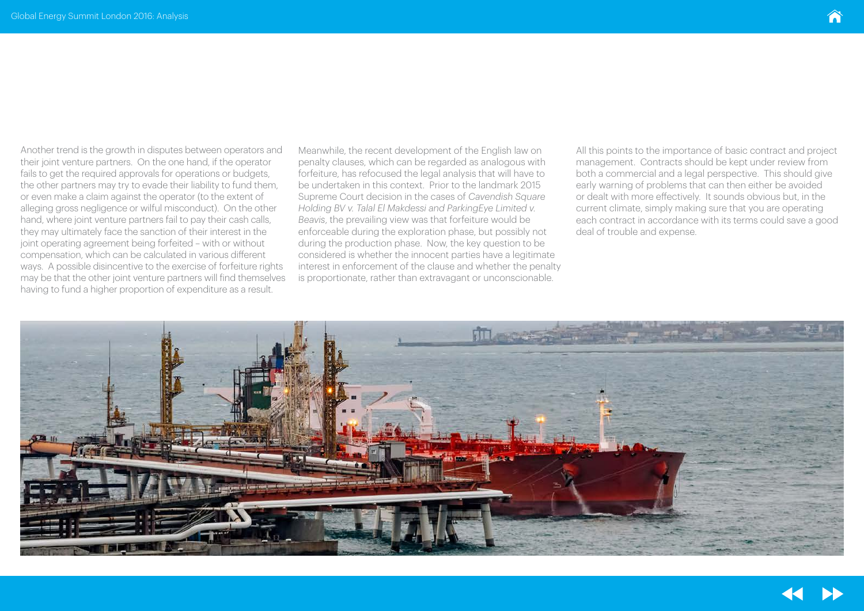Another trend is the growth in disputes between operators and their joint venture partners. On the one hand, if the operator fails to get the required approvals for operations or budgets, the other partners may try to evade their liability to fund them, or even make a claim against the operator (to the extent of alleging gross negligence or wilful misconduct). On the other hand, where joint venture partners fail to pay their cash calls, they may ultimately face the sanction of their interest in the joint operating agreement being forfeited – with or without compensation, which can be calculated in various different ways. A possible disincentive to the exercise of forfeiture rights may be that the other joint venture partners will find themselves having to fund a higher proportion of expenditure as a result.

Meanwhile, the recent development of the English law on penalty clauses, which can be regarded as analogous with forfeiture, has refocused the legal analysis that will have to be undertaken in this context. Prior to the landmark 2015 Supreme Court decision in the cases of *Cavendish Square Holding BV v. Talal El Makdessi and ParkingEye Limited v. Beavis*, the prevailing view was that forfeiture would be enforceable during the exploration phase, but possibly not during the production phase. Now, the key question to be considered is whether the innocent parties have a legitimate interest in enforcement of the clause and whether the penalty is proportionate, rather than extravagant or unconscionable.

All this points to the importance of basic contract and project management. Contracts should be kept under review from both a commercial and a legal perspective. This should give early warning of problems that can then either be avoided or dealt with more effectively. It sounds obvious but, in the current climate, simply making sure that you are operating each contract in accordance with its terms could save a good deal of trouble and expense.





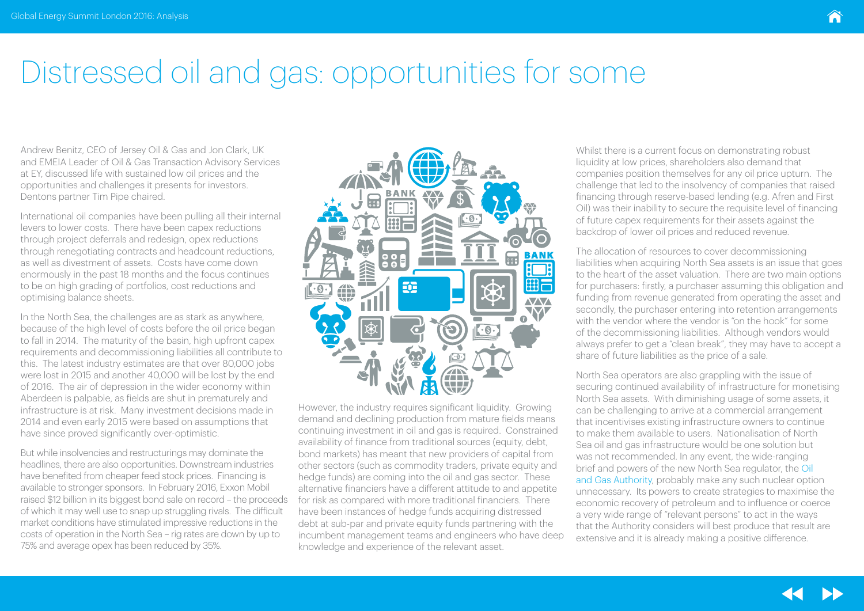Andrew Benitz, CEO of Jersey Oil & Gas and Jon Clark, UK and EMEIA Leader of Oil & Gas Transaction Advisory Services at EY, discussed life with sustained low oil prices and the opportunities and challenges it presents for investors. Dentons partner Tim Pipe chaired.

International oil companies have been pulling all their internal levers to lower costs. There have been capex reductions through project deferrals and redesign, opex reductions through renegotiating contracts and headcount reductions, as well as divestment of assets. Costs have come down enormously in the past 18 months and the focus continues to be on high grading of portfolios, cost reductions and optimising balance sheets.

In the North Sea, the challenges are as stark as anywhere, because of the high level of costs before the oil price began to fall in 2014. The maturity of the basin, high upfront capex requirements and decommissioning liabilities all contribute to this. The latest industry estimates are that over 80,000 jobs were lost in 2015 and another 40,000 will be lost by the end of 2016. The air of depression in the wider economy within Aberdeen is palpable, as fields are shut in prematurely and infrastructure is at risk. Many investment decisions made in 2014 and even early 2015 were based on assumptions that have since proved significantly over-optimistic.

But while insolvencies and restructurings may dominate the headlines, there are also opportunities. Downstream industries have benefited from cheaper feed stock prices. Financing is available to stronger sponsors. In February 2016, Exxon Mobil raised \$12 billion in its biggest bond sale on record – the proceeds of which it may well use to snap up struggling rivals. The difficult market conditions have stimulated impressive reductions in the costs of operation in the North Sea – rig rates are down by up to 75% and average opex has been reduced by 35%.



However, the industry requires significant liquidity. Growing demand and declining production from mature fields means continuing investment in oil and gas is required. Constrained availability of finance from traditional sources (equity, debt, bond markets) has meant that new providers of capital from other sectors (such as commodity traders, private equity and hedge funds) are coming into the oil and gas sector. These alternative financiers have a different attitude to and appetite for risk as compared with more traditional financiers. There have been instances of hedge funds acquiring distressed debt at sub-par and private equity funds partnering with the incumbent management teams and engineers who have deep knowledge and experience of the relevant asset.





The allocation of resources to cover decommissioning liabilities when acquiring North Sea assets is an issue that goes to the heart of the asset valuation. There are two main options for purchasers: firstly, a purchaser assuming this obligation and funding from revenue generated from operating the asset and secondly, the purchaser entering into retention arrangements with the vendor where the vendor is "on the hook" for some of the decommissioning liabilities. Although vendors would always prefer to get a "clean break", they may have to accept a share of future liabilities as the price of a sale.

North Sea operators are also grappling with the issue of securing continued availability of infrastructure for monetising North Sea assets. With diminishing usage of some assets, it can be challenging to arrive at a commercial arrangement that incentivises existing infrastructure owners to continue to make them available to users. Nationalisation of North Sea oil and gas infrastructure would be one solution but was not recommended. In any event, the wide-ranging brief and powers of the new North Sea regulator, the [Oil](http://www.globalenergyblog.com/the-new-north-sea-part-1-the-revolution)  [and Gas Authority](http://www.globalenergyblog.com/the-new-north-sea-part-1-the-revolution), probably make any such nuclear option unnecessary. Its powers to create strategies to maximise the economic recovery of petroleum and to influence or coerce a very wide range of "relevant persons" to act in the ways that the Authority considers will best produce that result are extensive and it is already making a positive difference.

## <span id="page-12-0"></span>Distressed oil and gas: opportunities for some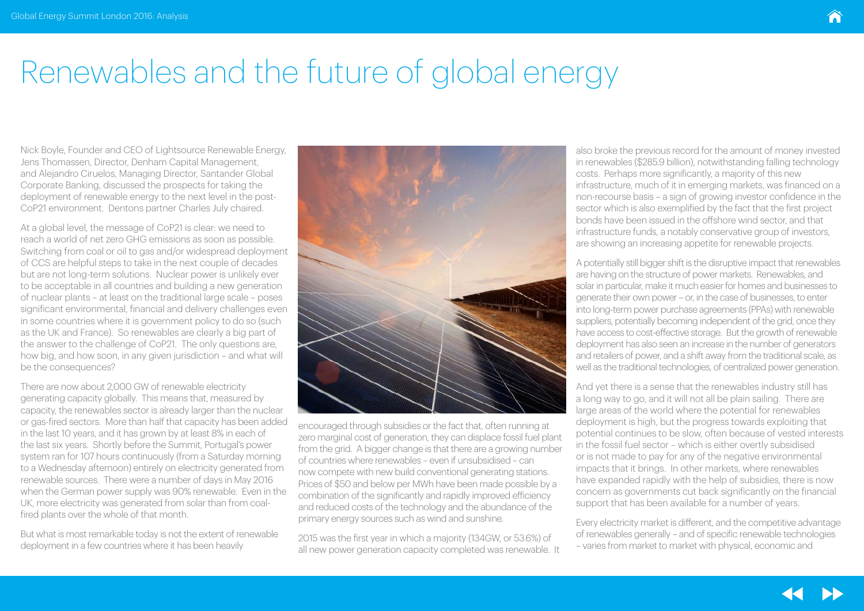## <span id="page-13-0"></span>Renewables and the future of global energy

Nick Boyle, Founder and CEO of Lightsource Renewable Energy, Jens Thomassen, Director, Denham Capital Management, and Alejandro Ciruelos, Managing Director, Santander Global Corporate Banking, discussed the prospects for taking the deployment of renewable energy to the next level in the post-CoP21 environment. Dentons partner Charles July chaired.

At a global level, the message of CoP21 is clear: we need to reach a world of net zero GHG emissions as soon as possible. Switching from coal or oil to gas and/or widespread deployment of CCS are helpful steps to take in the next couple of decades but are not long-term solutions. Nuclear power is unlikely ever to be acceptable in all countries and building a new generation of nuclear plants – at least on the traditional large scale – poses significant environmental, financial and delivery challenges even in some countries where it is government policy to do so (such as the UK and France). So renewables are clearly a big part of the answer to the challenge of CoP21. The only questions are, how big, and how soon, in any given jurisdiction – and what will be the consequences?

There are now about 2,000 GW of renewable electricity generating capacity globally. This means that, measured by capacity, the renewables sector is already larger than the nuclear or gas-fired sectors. More than half that capacity has been added in the last 10 years, and it has grown by at least 8% in each of the last six years. Shortly before the Summit, Portugal's power system ran for 107 hours continuously (from a Saturday morning to a Wednesday afternoon) entirely on electricity generated from renewable sources. There were a number of days in May 2016 when the German power supply was 90% renewable. Even in the UK, more electricity was generated from solar than from coalfired plants over the whole of that month.

But what is most remarkable today is not the extent of renewable deployment in a few countries where it has been heavily



encouraged through subsidies or the fact that, often running at zero marginal cost of generation, they can displace fossil fuel plant from the grid. A bigger change is that there are a growing number of countries where renewables – even if unsubsidised – can now compete with new build conventional generating stations. Prices of \$50 and below per MWh have been made possible by a combination of the significantly and rapidly improved efficiency and reduced costs of the technology and the abundance of the primary energy sources such as wind and sunshine.

2015 was the first year in which a majority (134GW, or 53.6%) of all new power generation capacity completed was renewable. It

also broke the previous record for the amount of money invested in renewables (\$285.9 billion), notwithstanding falling technology costs. Perhaps more significantly, a majority of this new infrastructure, much of it in emerging markets, was financed on a non-recourse basis – a sign of growing investor confidence in the sector which is also exemplified by the fact that the first project bonds have been issued in the offshore wind sector, and that infrastructure funds, a notably conservative group of investors, are showing an increasing appetite for renewable projects.

A potentially still bigger shift is the disruptive impact that renewables are having on the structure of power markets. Renewables, and solar in particular, make it much easier for homes and businesses to generate their own power – or, in the case of businesses, to enter into long-term power purchase agreements (PPAs) with renewable suppliers, potentially becoming independent of the grid, once they have access to cost-effective storage. But the growth of renewable deployment has also seen an increase in the number of generators and retailers of power, and a shift away from the traditional scale, as well as the traditional technologies, of centralized power generation.

And yet there is a sense that the renewables industry still has a long way to go, and it will not all be plain sailing. There are large areas of the world where the potential for renewables deployment is high, but the progress towards exploiting that potential continues to be slow, often because of vested interests in the fossil fuel sector – which is either overtly subsidised or is not made to pay for any of the negative environmental impacts that it brings. In other markets, where renewables have expanded rapidly with the help of subsidies, there is now concern as governments cut back significantly on the financial support that has been available for a number of years.

Every electricity market is different, and the competitive advantage of renewables generally – and of specific renewable technologies – varies from market to market with physical, economic and



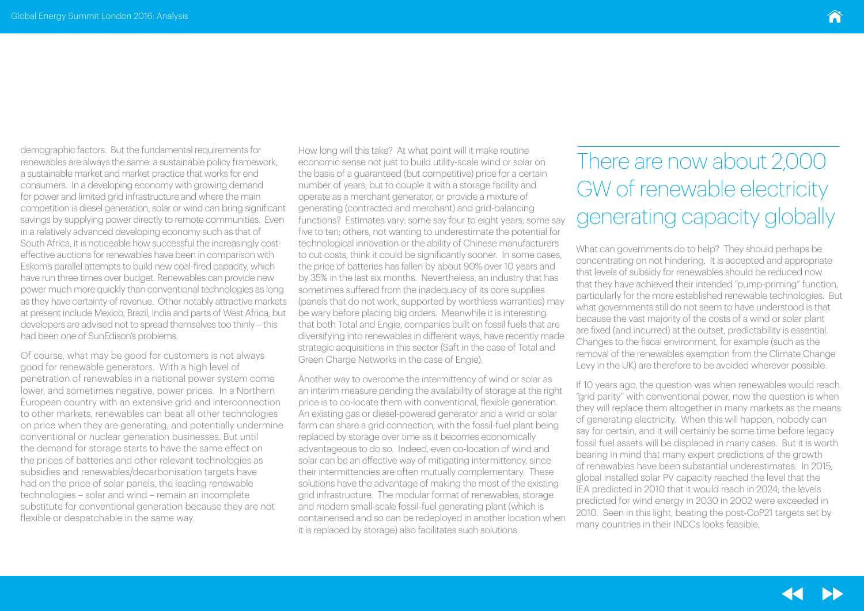demographic factors. But the fundamental requirements for renewables are always the same: a sustainable policy framework, a sustainable market and market practice that works for end consumers. In a developing economy with growing demand for power and limited grid infrastructure and where the main competition is diesel generation, solar or wind can bring significant savings by supplying power directly to remote communities. Even in a relatively advanced developing economy such as that of South Africa, it is noticeable how successful the increasingly costeffective auctions for renewables have been in comparison with Eskom's parallel attempts to build new coal-fired capacity, which have run three times over budget. Renewables can provide new power much more quickly than conventional technologies as long as they have certainty of revenue. Other notably attractive markets at present include Mexico, Brazil, India and parts of West Africa, but developers are advised not to spread themselves too thinly – this had been one of SunEdison's problems.

Of course, what may be good for customers is not always good for renewable generators. With a high level of penetration of renewables in a national power system come lower, and sometimes negative, power prices. In a Northern European country with an extensive grid and interconnection to other markets, renewables can beat all other technologies on price when they are generating, and potentially undermine conventional or nuclear generation businesses. But until the demand for storage starts to have the same effect on the prices of batteries and other relevant technologies as subsidies and renewables/decarbonisation targets have had on the price of solar panels, the leading renewable technologies – solar and wind – remain an incomplete substitute for conventional generation because they are not flexible or despatchable in the same way.

How long will this take? At what point will it make routine economic sense not just to build utility-scale wind or solar on the basis of a guaranteed (but competitive) price for a certain number of years, but to couple it with a storage facility and operate as a merchant generator, or provide a mixture of generating (contracted and merchant) and grid-balancing functions? Estimates vary: some say four to eight years; some say five to ten; others, not wanting to underestimate the potential for technological innovation or the ability of Chinese manufacturers to cut costs, think it could be significantly sooner. In some cases, the price of batteries has fallen by about 90% over 10 years and by 35% in the last six months. Nevertheless, an industry that has sometimes suffered from the inadequacy of its core supplies (panels that do not work, supported by worthless warranties) may be wary before placing big orders. Meanwhile it is interesting that both Total and Engie, companies built on fossil fuels that are diversifying into renewables in different ways, have recently made strategic acquisitions in this sector (Saft in the case of Total and Green Charge Networks in the case of Engie).

Another way to overcome the intermittency of wind or solar as an interim measure pending the availability of storage at the right price is to co-locate them with conventional, flexible generation. An existing gas or diesel-powered generator and a wind or solar farm can share a grid connection, with the fossil-fuel plant being replaced by storage over time as it becomes economically advantageous to do so. Indeed, even co-location of wind and solar can be an effective way of mitigating intermittency, since their intermittencies are often mutually complementary. These solutions have the advantage of making the most of the existing grid infrastructure. The modular format of renewables, storage and modern small-scale fossil-fuel generating plant (which is containerised and so can be redeployed in another location when it is replaced by storage) also facilitates such solutions.

What can governments do to help? They should perhaps be concentrating on not hindering. It is accepted and appropriate that levels of subsidy for renewables should be reduced now that they have achieved their intended "pump-priming" function, particularly for the more established renewable technologies. But what governments still do not seem to have understood is that because the vast majority of the costs of a wind or solar plant are fixed (and incurred) at the outset, predictability is essential. Changes to the fiscal environment, for example (such as the removal of the renewables exemption from the Climate Change Levy in the UK) are therefore to be avoided wherever possible.

If 10 years ago, the question was when renewables would reach "grid parity" with conventional power, now the question is when they will replace them altogether in many markets as the means of generating electricity. When this will happen, nobody can say for certain, and it will certainly be some time before legacy fossil fuel assets will be displaced in many cases. But it is worth bearing in mind that many expert predictions of the growth of renewables have been substantial underestimates. In 2015, global installed solar PV capacity reached the level that the IEA predicted in 2010 that it would reach in 2024; the levels predicted for wind energy in 2030 in 2002 were exceeded in 2010. Seen in this light, beating the post-CoP21 targets set by many countries in their INDCs looks feasible.



### There are now about 2,000 GW of renewable electricity generating capacity globally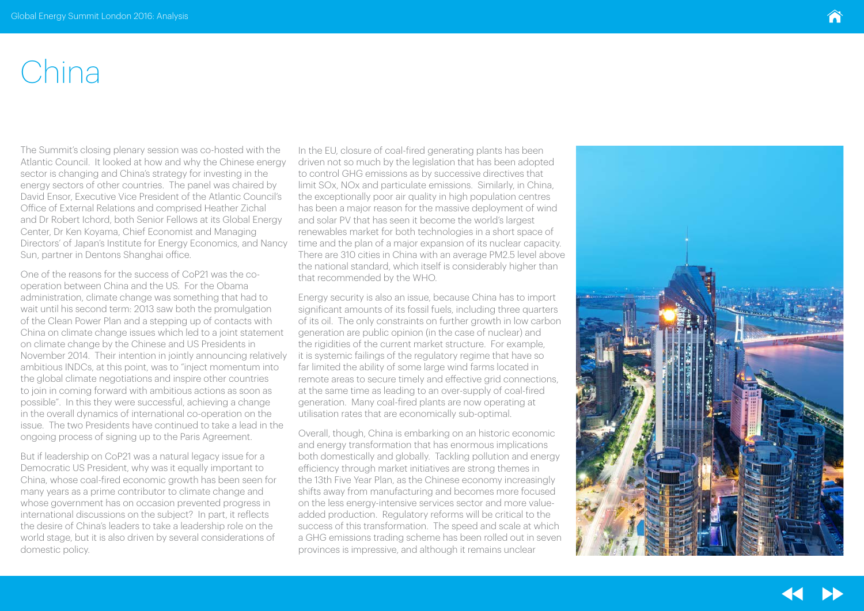## <span id="page-15-0"></span>China

The Summit's closing plenary session was co-hosted with the Atlantic Council. It looked at how and why the Chinese energy sector is changing and China's strategy for investing in the energy sectors of other countries. The panel was chaired by David Ensor, Executive Vice President of the Atlantic Council's Office of External Relations and comprised Heather Zichal and Dr Robert Ichord, both Senior Fellows at its Global Energy Center, Dr Ken Koyama, Chief Economist and Managing Directors' of Japan's Institute for Energy Economics, and Nancy Sun, partner in Dentons Shanghai office.

One of the reasons for the success of CoP21 was the cooperation between China and the US. For the Obama administration, climate change was something that had to wait until his second term: 2013 saw both the promulgation of the Clean Power Plan and a stepping up of contacts with China on climate change issues which led to a joint statement on climate change by the Chinese and US Presidents in November 2014. Their intention in jointly announcing relatively ambitious INDCs, at this point, was to "inject momentum into the global climate negotiations and inspire other countries to join in coming forward with ambitious actions as soon as possible". In this they were successful, achieving a change in the overall dynamics of international co-operation on the issue. The two Presidents have continued to take a lead in the ongoing process of signing up to the Paris Agreement.

But if leadership on CoP21 was a natural legacy issue for a Democratic US President, why was it equally important to China, whose coal-fired economic growth has been seen for many years as a prime contributor to climate change and whose government has on occasion prevented progress in international discussions on the subject? In part, it reflects the desire of China's leaders to take a leadership role on the world stage, but it is also driven by several considerations of domestic policy.

In the EU, closure of coal-fired generating plants has been driven not so much by the legislation that has been adopted to control GHG emissions as by successive directives that limit SOx, NOx and particulate emissions. Similarly, in China, the exceptionally poor air quality in high population centres has been a major reason for the massive deployment of wind and solar PV that has seen it become the world's largest renewables market for both technologies in a short space of time and the plan of a major expansion of its nuclear capacity. There are 310 cities in China with an average PM2.5 level above the national standard, which itself is considerably higher than that recommended by the WHO.

Energy security is also an issue, because China has to import significant amounts of its fossil fuels, including three quarters of its oil. The only constraints on further growth in low carbon generation are public opinion (in the case of nuclear) and the rigidities of the current market structure. For example, it is systemic failings of the regulatory regime that have so far limited the ability of some large wind farms located in remote areas to secure timely and effective grid connections, at the same time as leading to an over-supply of coal-fired generation. Many coal-fired plants are now operating at utilisation rates that are economically sub-optimal.

Overall, though, China is embarking on an historic economic and energy transformation that has enormous implications both domestically and globally. Tackling pollution and energy efficiency through market initiatives are strong themes in the 13th Five Year Plan, as the Chinese economy increasingly shifts away from manufacturing and becomes more focused on the less energy-intensive services sector and more valueadded production. Regulatory reforms will be critical to the success of this transformation. The speed and scale at which a GHG emissions trading scheme has been rolled out in seven provinces is impressive, and although it remains unclear





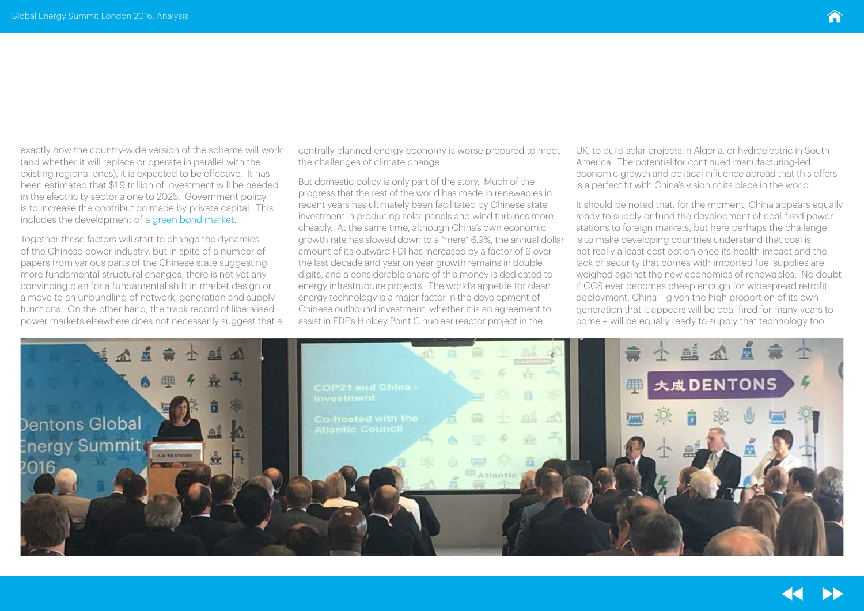exactly how the country-wide version of the scheme will work (and whether it will replace or operate in parallel with the existing regional ones), it is expected to be effective. It has been estimated that \$1.9 trillion of investment will be needed in the electricity sector alone to 2025. Government policy is to increase the contribution made by private capital. This includes the development of a [green bond market.](http://www.icmagroup.org/News/news-in-brief/new-official-rules-for-chinese-green-bond-market/)

Together these factors will start to change the dynamics of the Chinese power industry, but in spite of a number of papers from various parts of the Chinese state suggesting more fundamental structural changes, there is not yet any convincing plan for a fundamental shift in market design or a move to an unbundling of network, generation and supply functions. On the other hand, the track record of liberalised power markets elsewhere does not necessarily suggest that a

centrally planned energy economy is worse prepared to meet the challenges of climate change.

But domestic policy is only part of the story. Much of the progress that the rest of the world has made in renewables in recent years has ultimately been facilitated by Chinese state investment in producing solar panels and wind turbines more cheaply. At the same time, although China's own economic growth rate has slowed down to a "mere" 6.9%, the annual dollar amount of its outward FDI has increased by a factor of 6 over the last decade and year on year growth remains in double digits, and a considerable share of this money is dedicated to energy infrastructure projects. The world's appetite for clean energy technology is a major factor in the development of Chinese outbound investment, whether it is an agreement to assist in EDF's Hinkley Point C nuclear reactor project in the

UK, to build solar projects in Algeria, or hydroelectric in South America. The potential for continued manufacturing-led economic growth and political influence abroad that this offers is a perfect fit with China's vision of its place in the world.

It should be noted that, for the moment, China appears equally ready to supply or fund the development of coal-fired power stations to foreign markets, but here perhaps the challenge is to make developing countries understand that coal is not really a least cost option once its health impact and the lack of security that comes with imported fuel supplies are weighed against the new economics of renewables. No doubt if CCS ever becomes cheap enough for widespread retrofit deployment, China – given the high proportion of its own generation that it appears will be coal-fired for many years to come – will be equally ready to supply that technology too.